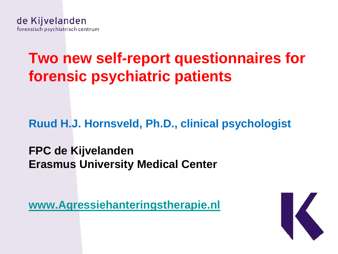# **Two new self-report questionnaires for forensic psychiatric patients**

**Ruud H.J. Hornsveld, Ph.D., clinical psychologist**

**FPC de Kijvelanden Erasmus University Medical Center**

**[www.Agressiehanteringstherapie.nl](http://www.agressiehanteringstherapie.nl/)**

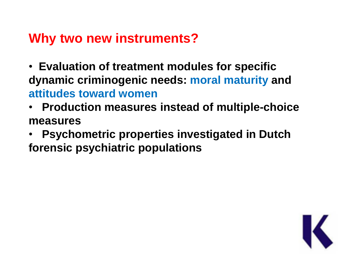#### **Why two new instruments?**

- • **Evaluation of treatment modules for specific dynamic criminogenic needs: moral maturity and attitudes toward women**
- • **Production measures instead of multiple-choice measures**
- • **Psychometric properties investigated in Dutch forensic psychiatric populations**

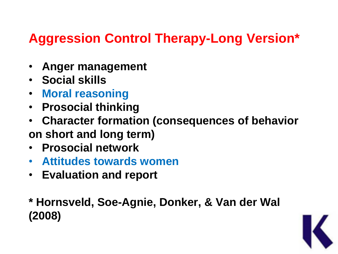# **Aggression Control Therapy-Long Version\***

- • **Anger management**
- • **Social skills**
- • **Moral reasoning**
- • **Prosocial thinking**
- • **Character formation (consequences of behavior on short and long term)**
- • **Prosocial network**
- • **Attitudes towards women**
- • **Evaluation and report**

#### **\* Hornsveld, Soe-Agnie, Donker, & Van der Wal (2008)**

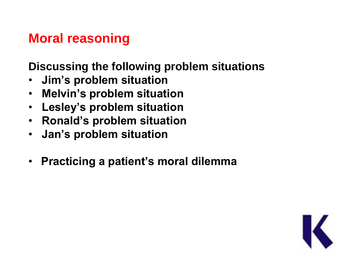# **Moral reasoning**

**Discussing the following problem situations**

- • **Jim's problem situation**
- • **Melvin's problem situation**
- • **Lesley's problem situation**
- • **Ronald's problem situation**
- • **Jan's problem situation**
- **Practicing a patient's moral dilemma**

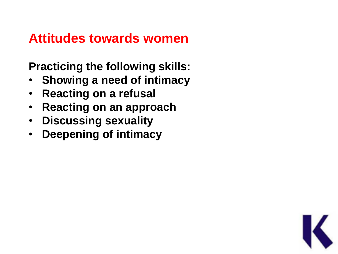#### **Attitudes towards women**

**Practicing the following skills:** 

- • **Showing a need of intimacy**
- • **Reacting on a refusal**
- • **Reacting on an approach**
- • **Discussing sexuality**
- • **Deepening of intimacy**

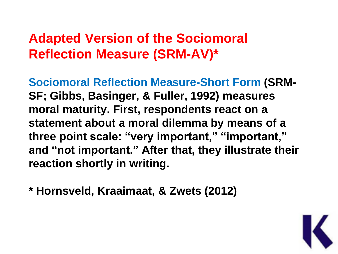# **Adapted Version of the Sociomoral Reflection Measure (SRM-AV)\***

**Sociomoral Reflection Measure-Short Form (SRM-SF; Gibbs, Basinger, & Fuller, 1992) measures moral maturity. First, respondents react on a statement about a moral dilemma by means of a three point scale: "very important," "important," and "not important." After that, they illustrate their reaction shortly in writing.**

**\* Hornsveld, Kraaimaat, & Zwets (2012)**

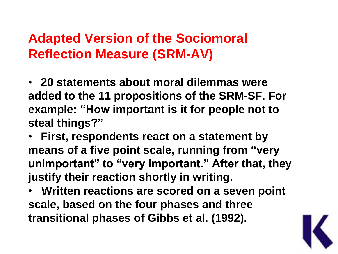# **Adapted Version of the Sociomoral Reflection Measure (SRM-AV)**

• **20 statements about moral dilemmas were added to the 11 propositions of the SRM-SF. For example: "How important is it for people not to steal things?"**

• **First, respondents react on a statement by means of a five point scale, running from "very unimportant" to "very important." After that, they justify their reaction shortly in writing.**

• **Written reactions are scored on a seven point scale, based on the four phases and three transitional phases of Gibbs et al. (1992).**

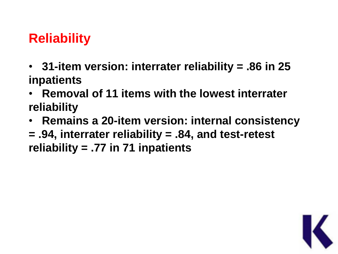# **Reliability**

- • **31-item version: interrater reliability = .86 in 25 inpatients**
- • **Removal of 11 items with the lowest interrater reliability**
- • **Remains a 20-item version: internal consistency**
- **= .94, interrater reliability = .84, and test-retest reliability = .77 in 71 inpatients**

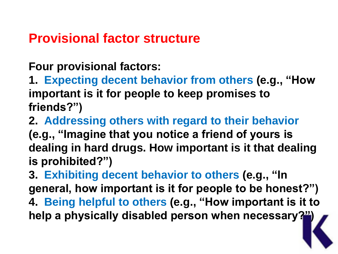#### **Provisional factor structure**

**Four provisional factors:**

**1. Expecting decent behavior from others (e.g., "How important is it for people to keep promises to friends?")**

**2. Addressing others with regard to their behavior (e.g., "Imagine that you notice a friend of yours is dealing in hard drugs. How important is it that dealing is prohibited?")**

**3. Exhibiting decent behavior to others (e.g., "In general, how important is it for people to be honest?") 4. Being helpful to others (e.g., "How important is it to help a physically disabled person when necessary?")**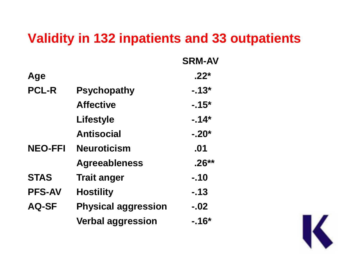#### **Validity in 132 inpatients and 33 outpatients**

|                |                            | <b>SRM-AV</b> |
|----------------|----------------------------|---------------|
| Age            |                            | $-22*$        |
| <b>PCL-R</b>   | <b>Psychopathy</b>         | $-13*$        |
|                | <b>Affective</b>           | $-15*$        |
|                | <b>Lifestyle</b>           | $-14*$        |
|                | <b>Antisocial</b>          | $-20*$        |
| <b>NEO-FFI</b> | <b>Neuroticism</b>         | .01           |
|                | <b>Agreeableness</b>       | $.26***$      |
| <b>STAS</b>    | <b>Trait anger</b>         | $-.10$        |
| <b>PFS-AV</b>  | <b>Hostility</b>           | $-13$         |
| <b>AQ-SF</b>   | <b>Physical aggression</b> | $-.02$        |
|                | <b>Verbal aggression</b>   | $-16*$        |

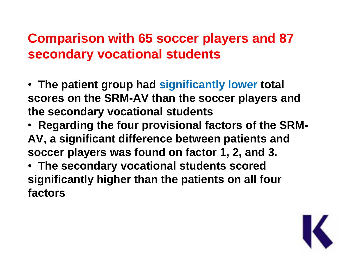# **Comparison with 65 soccer players and 87 secondary vocational students**

- • **The patient group had significantly lower total scores on the SRM-AV than the soccer players and the secondary vocational students**
- • **Regarding the four provisional factors of the SRM-AV, a significant difference between patients and soccer players was found on factor 1, 2, and 3.**
- • **The secondary vocational students scored significantly higher than the patients on all four factors**

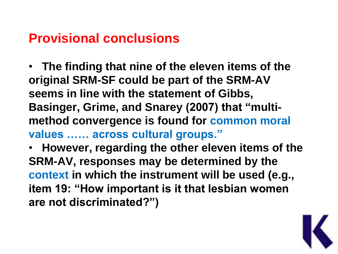#### **Provisional conclusions**

• **The finding that nine of the eleven items of the original SRM-SF could be part of the SRM-AV seems in line with the statement of Gibbs, Basinger, Grime, and Snarey (2007) that "multimethod convergence is found for common moral values …… across cultural groups."** 

• **However, regarding the other eleven items of the SRM-AV, responses may be determined by the context in which the instrument will be used (e.g., item 19: "How important is it that lesbian women are not discriminated?")**

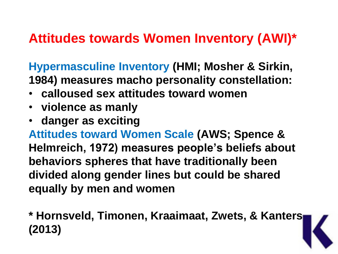# **Attitudes towards Women Inventory (AWI)\***

**Hypermasculine Inventory (HMI; Mosher & Sirkin, 1984) measures macho personality constellation:**

- **calloused sex attitudes toward women**
- **violence as manly**
- **danger as exciting**

**Attitudes toward Women Scale (AWS; Spence & Helmreich, 1972) measures people's beliefs about behaviors spheres that have traditionally been divided along gender lines but could be shared equally by men and women** 

**\* Hornsveld, Timonen, Kraaimaat, Zwets, & Kanters (2013)**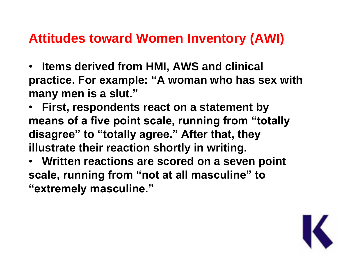### **Attitudes toward Women Inventory (AWI)**

- • **Items derived from HMI, AWS and clinical practice. For example: "A woman who has sex with many men is a slut."**
- • **First, respondents react on a statement by means of a five point scale, running from "totally disagree" to "totally agree." After that, they illustrate their reaction shortly in writing.**
- • **Written reactions are scored on a seven point scale, running from "not at all masculine" to "extremely masculine."**

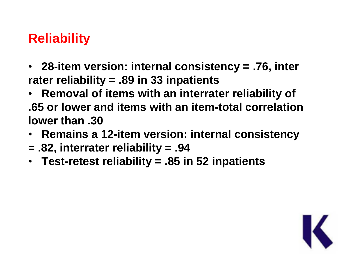# **Reliability**

- • **28-item version: internal consistency = .76, inter rater reliability = .89 in 33 inpatients**
- • **Removal of items with an interrater reliability of .65 or lower and items with an item-total correlation lower than .30**
- • **Remains a 12-item version: internal consistency**
- **= .82, interrater reliability = .94**
- • **Test-retest reliability = .85 in 52 inpatients**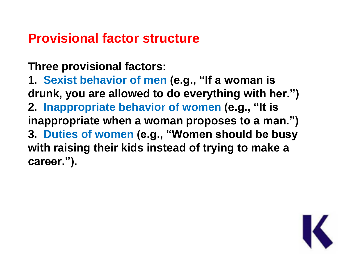#### **Provisional factor structure**

**Three provisional factors:**

**1. Sexist behavior of men (e.g., "If a woman is drunk, you are allowed to do everything with her.") 2. Inappropriate behavior of women (e.g., "It is inappropriate when a woman proposes to a man.") 3. Duties of women (e.g., "Women should be busy with raising their kids instead of trying to make a career.").**

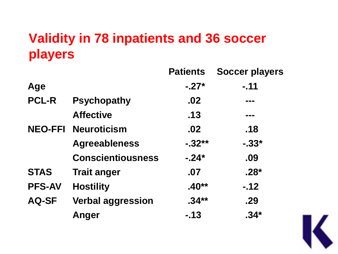# **Validity in 78 inpatients and 36 soccer players**

|                |                          | <b>Patients</b> | <b>Soccer players</b> |
|----------------|--------------------------|-----------------|-----------------------|
| Age            |                          | $-.27*$         | $-.11$                |
| <b>PCL-R</b>   | <b>Psychopathy</b>       | .02             | ---                   |
|                | <b>Affective</b>         | .13             | ---                   |
| <b>NEO-FFI</b> | <b>Neuroticism</b>       | .02             | .18                   |
|                | <b>Agreeableness</b>     | $-32**$         | $-0.33*$              |
|                | <b>Conscientiousness</b> | $-24*$          | .09                   |
| <b>STAS</b>    | <b>Trait anger</b>       | .07             | $.28*$                |
| <b>PFS-AV</b>  | <b>Hostility</b>         | $.40**$         | $-12$                 |
| <b>AQ-SF</b>   | <b>Verbal aggression</b> | $.34***$        | .29                   |
|                | Anger                    | $-13$           | $.34*$                |

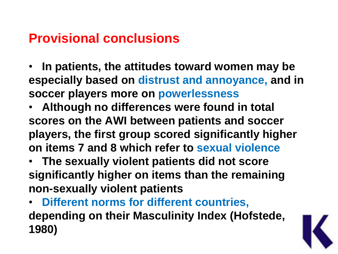### **Provisional conclusions**

- • **In patients, the attitudes toward women may be especially based on distrust and annoyance, and in soccer players more on powerlessness**
- • **Although no differences were found in total scores on the AWI between patients and soccer players, the first group scored significantly higher on items 7 and 8 which refer to sexual violence**
- • **The sexually violent patients did not score significantly higher on items than the remaining non-sexually violent patients**
- • **Different norms for different countries, depending on their Masculinity Index (Hofstede, 1980)**

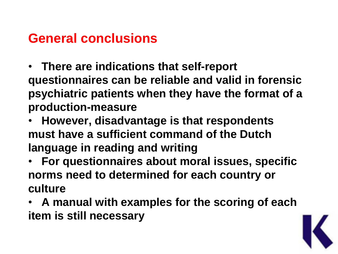### **General conclusions**

- • **There are indications that self-report questionnaires can be reliable and valid in forensic psychiatric patients when they have the format of a production-measure**
- • **However, disadvantage is that respondents must have a sufficient command of the Dutch language in reading and writing**
- • **For questionnaires about moral issues, specific norms need to determined for each country or culture**
- • **A manual with examples for the scoring of each item is still necessary**

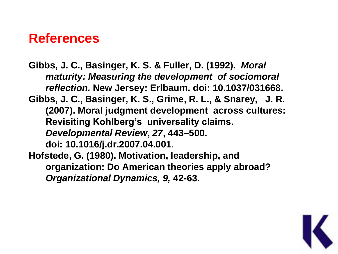#### **References**

**Gibbs, J. C., Basinger, K. S. & Fuller, D. (1992).** *Moral maturity: Measuring the development of sociomoral reflection.* **New Jersey: Erlbaum. doi: 10.1037/031668. Gibbs, J. C., Basinger, K. S., Grime, R. L., & Snarey, J. R. (2007). Moral judgment development across cultures: Revisiting Kohlberg's universality claims.**  *Developmental Review***,** *27***, 443–500. doi: 10.1016/j.dr.2007.04.001**. **Hofstede, G. (1980). Motivation, leadership, and organization: Do American theories apply abroad?**  *Organizational Dynamics, 9,* **42-63.**

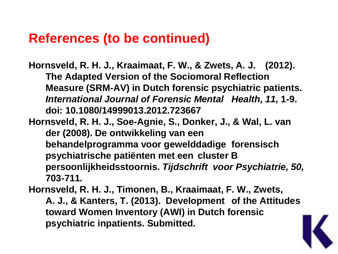#### **References (to be continued)**

**Hornsveld, R. H. J., Kraaimaat, F. W., & Zwets, A. J. (2012). The Adapted Version of the Sociomoral Reflection Measure (SRM-AV) in Dutch forensic psychiatric patients.**  *International Journal of Forensic Mental Health, 11,* **1-9. doi: 10.1080/14999013.2012.723667**

**Hornsveld, R. H. J., Soe-Agnie, S., Donker, J., & Wal, L. van der (2008). De ontwikkeling van een behandelprogramma voor gewelddadige forensisch psychiatrische patiënten met een cluster B persoonlijkheidsstoornis.** *Tijdschrift voor Psychiatrie, 50,*  **703-711***.*

**Hornsveld, R. H. J., Timonen, B., Kraaimaat, F. W., Zwets, A. J., & Kanters, T. (2013). Development of the Attitudes toward Women Inventory (AWI) in Dutch forensic psychiatric inpatients. Submitted.**